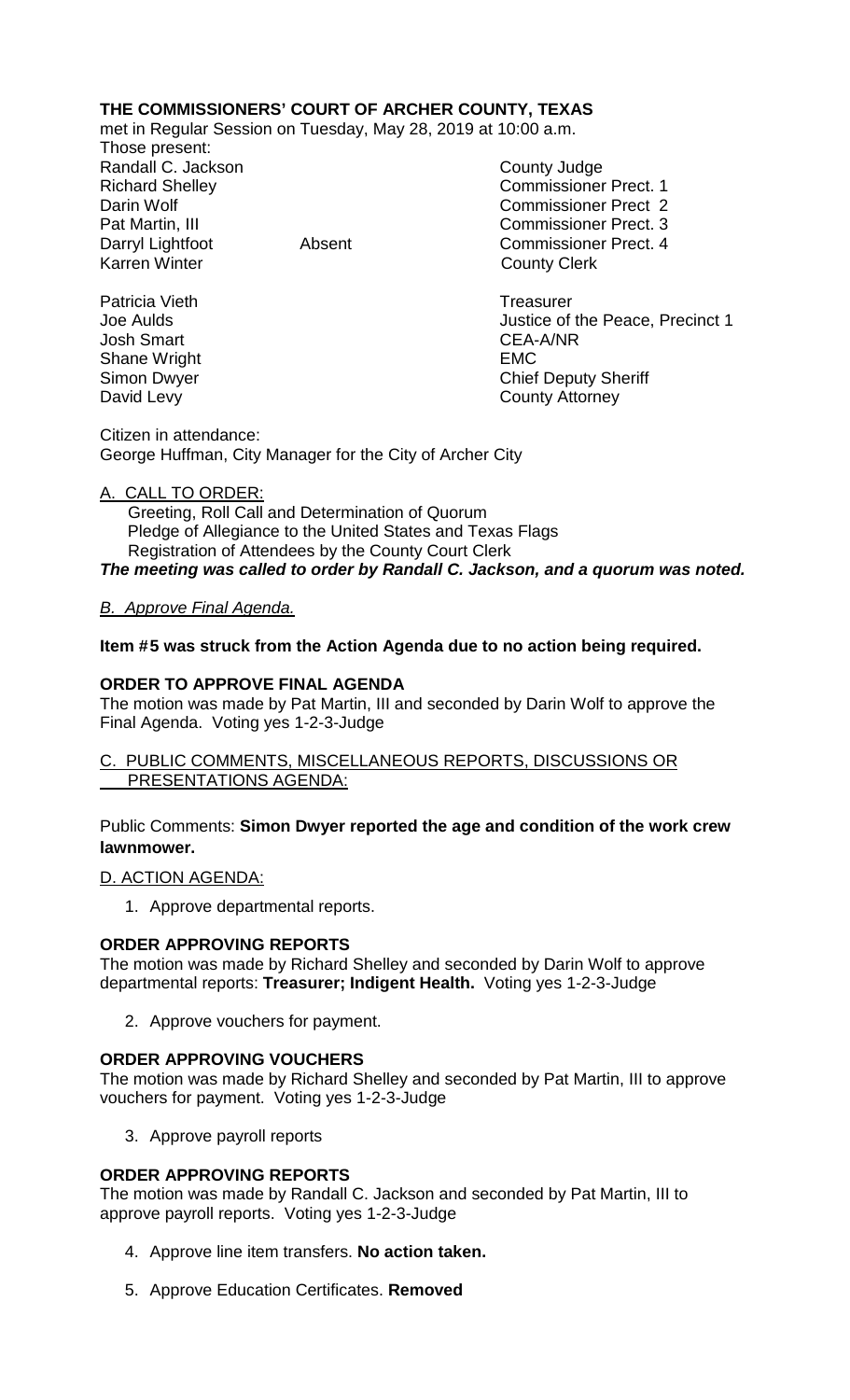# **THE COMMISSIONERS' COURT OF ARCHER COUNTY, TEXAS**

met in Regular Session on Tuesday, May 28, 2019 at 10:00 a.m.

Those present: Randall C. Jackson County Judge

Richard Shelley **Commissioner Prect. 1** Darin Wolf Commissioner Prect 2 Pat Martin, III Commissioner Prect. 3 Darryl Lightfoot **Absent** Absent Commissioner Prect. 4<br>
Karren Winter **Counting Commissioner** Prect. 4 **County Clerk** 

Patricia Vieth Treasurer<br>
Joe Aulds Santa Contract Contract Contract Contract Contract Contract Contract Contract Contract Contract Contra<br>
Treasurer Contract Contract Contract Contract Contract Contract Contract Contract Justice of the Peace, Precinct 1 Josh Smart CEA-A/NR Shane Wright **EMC** Simon Dwyer Chief Deputy Sheriff David Levy **County Attorney** 

Citizen in attendance: George Huffman, City Manager for the City of Archer City

# A. CALL TO ORDER:

 Greeting, Roll Call and Determination of Quorum Pledge of Allegiance to the United States and Texas Flags Registration of Attendees by the County Court Clerk *The meeting was called to order by Randall C. Jackson, and a quorum was noted.*

# *B. Approve Final Agenda.*

## **Item #5 was struck from the Action Agenda due to no action being required.**

## **ORDER TO APPROVE FINAL AGENDA**

The motion was made by Pat Martin, III and seconded by Darin Wolf to approve the Final Agenda. Voting yes 1-2-3-Judge

### C. PUBLIC COMMENTS, MISCELLANEOUS REPORTS, DISCUSSIONS OR PRESENTATIONS AGENDA:

## Public Comments: **Simon Dwyer reported the age and condition of the work crew lawnmower.**

### D. ACTION AGENDA:

1. Approve departmental reports.

### **ORDER APPROVING REPORTS**

The motion was made by Richard Shelley and seconded by Darin Wolf to approve departmental reports: **Treasurer; Indigent Health.** Voting yes 1-2-3-Judge

2. Approve vouchers for payment.

### **ORDER APPROVING VOUCHERS**

The motion was made by Richard Shelley and seconded by Pat Martin, III to approve vouchers for payment. Voting yes 1-2-3-Judge

3. Approve payroll reports

### **ORDER APPROVING REPORTS**

The motion was made by Randall C. Jackson and seconded by Pat Martin, III to approve payroll reports. Voting yes 1-2-3-Judge

- 4. Approve line item transfers. **No action taken.**
- 5. Approve Education Certificates. **Removed**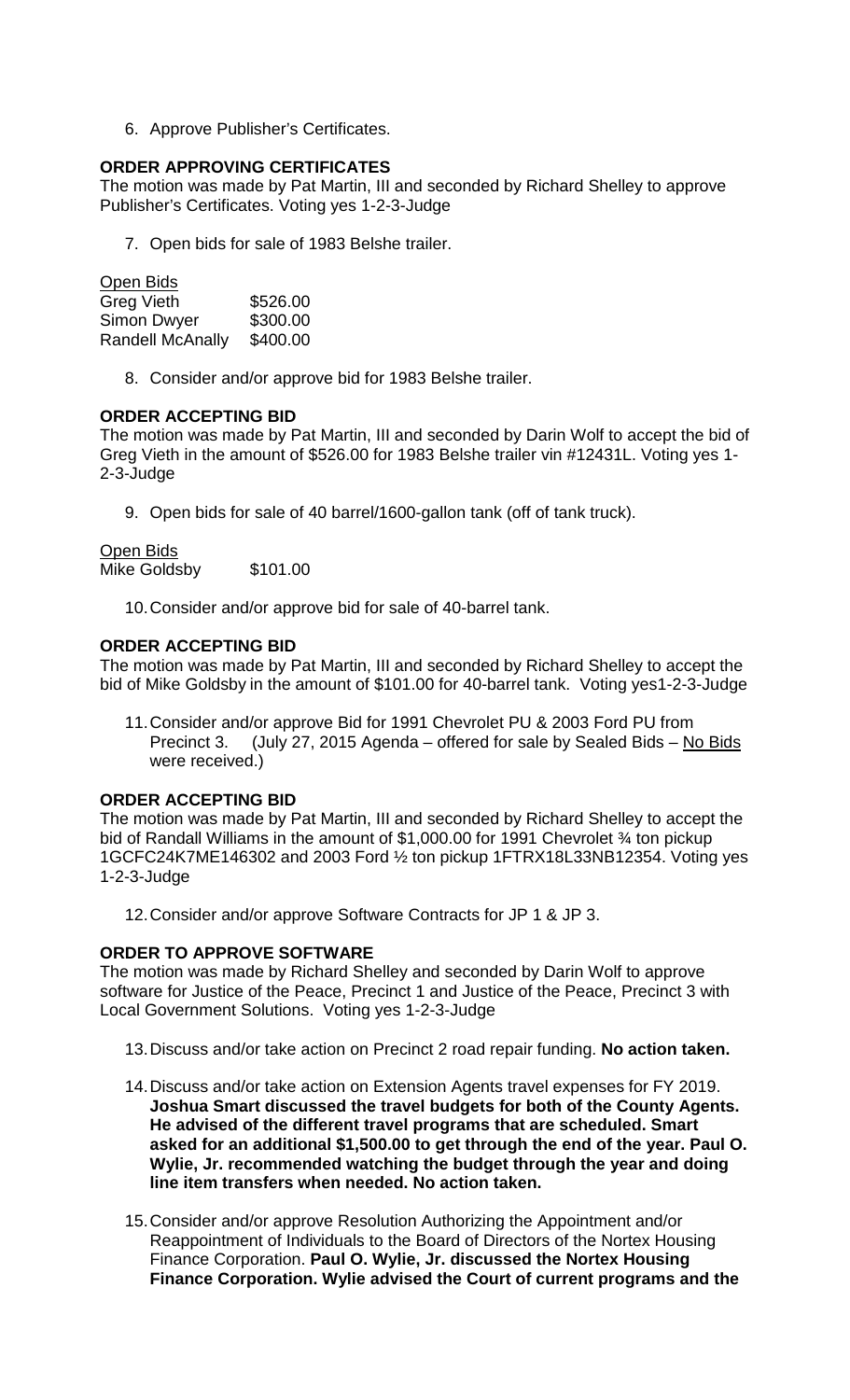6. Approve Publisher's Certificates.

## **ORDER APPROVING CERTIFICATES**

The motion was made by Pat Martin, III and seconded by Richard Shelley to approve Publisher's Certificates. Voting yes 1-2-3-Judge

7. Open bids for sale of 1983 Belshe trailer.

Open Bids Greg Vieth \$526.00<br>Simon Dwyer \$300.00 Simon Dwyer Randell McAnally \$400.00

8. Consider and/or approve bid for 1983 Belshe trailer.

## **ORDER ACCEPTING BID**

The motion was made by Pat Martin, III and seconded by Darin Wolf to accept the bid of Greg Vieth in the amount of \$526.00 for 1983 Belshe trailer vin #12431L. Voting yes 1- 2-3-Judge

9. Open bids for sale of 40 barrel/1600-gallon tank (off of tank truck).

## Open Bids

Mike Goldsby \$101.00

10.Consider and/or approve bid for sale of 40-barrel tank.

## **ORDER ACCEPTING BID**

The motion was made by Pat Martin, III and seconded by Richard Shelley to accept the bid of Mike Goldsby in the amount of \$101.00 for 40-barrel tank. Voting yes1-2-3-Judge

11.Consider and/or approve Bid for 1991 Chevrolet PU & 2003 Ford PU from Precinct 3. (July 27, 2015 Agenda – offered for sale by Sealed Bids – No Bids were received.)

# **ORDER ACCEPTING BID**

The motion was made by Pat Martin, III and seconded by Richard Shelley to accept the bid of Randall Williams in the amount of \$1,000.00 for 1991 Chevrolet % ton pickup 1GCFC24K7ME146302 and 2003 Ford ½ ton pickup 1FTRX18L33NB12354. Voting yes 1-2-3-Judge

12.Consider and/or approve Software Contracts for JP 1 & JP 3.

### **ORDER TO APPROVE SOFTWARE**

The motion was made by Richard Shelley and seconded by Darin Wolf to approve software for Justice of the Peace, Precinct 1 and Justice of the Peace, Precinct 3 with Local Government Solutions. Voting yes 1-2-3-Judge

- 13.Discuss and/or take action on Precinct 2 road repair funding. **No action taken.**
- 14.Discuss and/or take action on Extension Agents travel expenses for FY 2019. **Joshua Smart discussed the travel budgets for both of the County Agents. He advised of the different travel programs that are scheduled. Smart asked for an additional \$1,500.00 to get through the end of the year. Paul O. Wylie, Jr. recommended watching the budget through the year and doing line item transfers when needed. No action taken.**
- 15.Consider and/or approve Resolution Authorizing the Appointment and/or Reappointment of Individuals to the Board of Directors of the Nortex Housing Finance Corporation. **Paul O. Wylie, Jr. discussed the Nortex Housing Finance Corporation. Wylie advised the Court of current programs and the**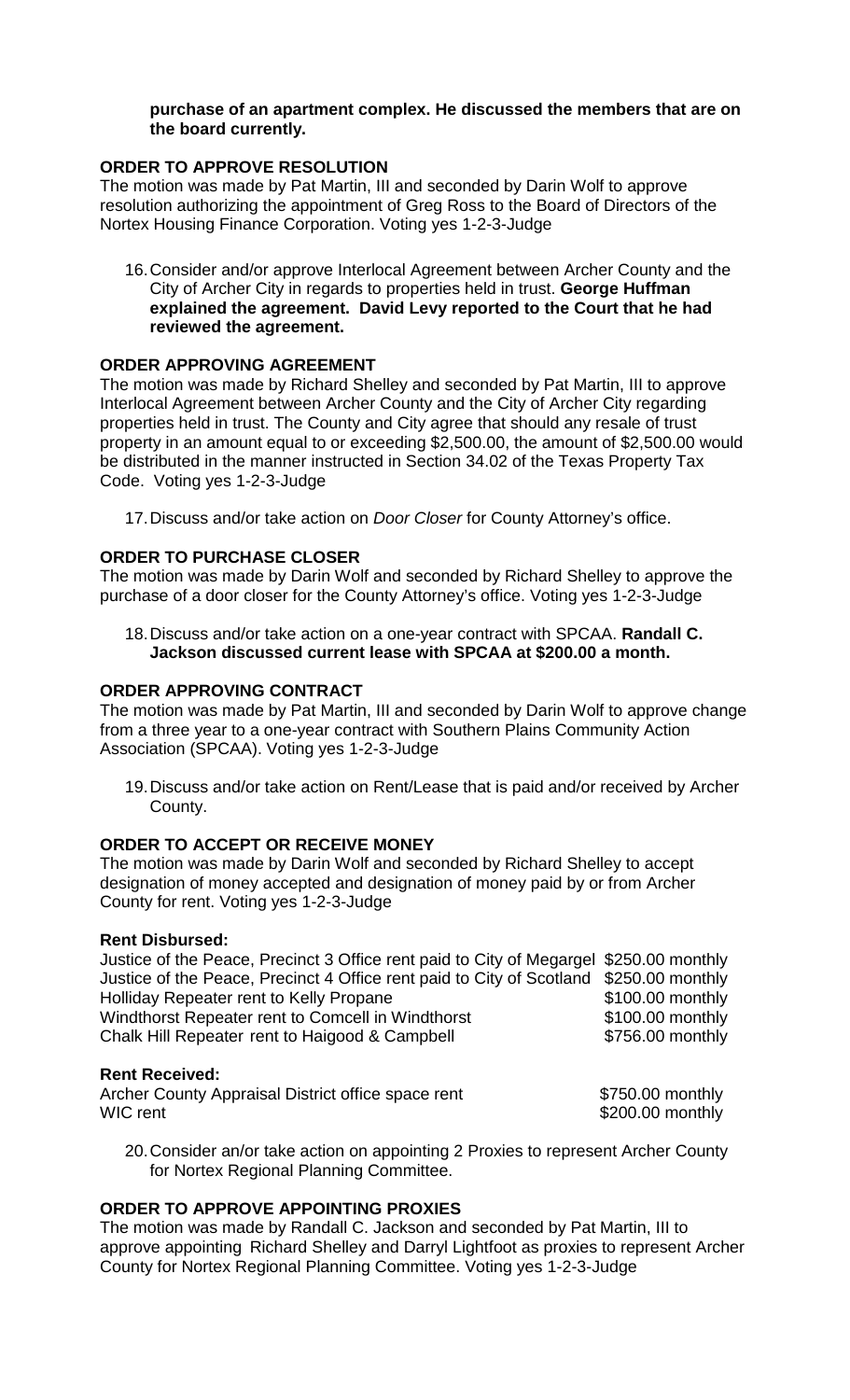### **purchase of an apartment complex. He discussed the members that are on the board currently.**

# **ORDER TO APPROVE RESOLUTION**

The motion was made by Pat Martin, III and seconded by Darin Wolf to approve resolution authorizing the appointment of Greg Ross to the Board of Directors of the Nortex Housing Finance Corporation. Voting yes 1-2-3-Judge

16.Consider and/or approve Interlocal Agreement between Archer County and the City of Archer City in regards to properties held in trust. **George Huffman explained the agreement. David Levy reported to the Court that he had reviewed the agreement.**

# **ORDER APPROVING AGREEMENT**

The motion was made by Richard Shelley and seconded by Pat Martin, III to approve Interlocal Agreement between Archer County and the City of Archer City regarding properties held in trust. The County and City agree that should any resale of trust property in an amount equal to or exceeding \$2,500.00, the amount of \$2,500.00 would be distributed in the manner instructed in Section 34.02 of the Texas Property Tax Code. Voting yes 1-2-3-Judge

17.Discuss and/or take action on *Door Closer* for County Attorney's office.

# **ORDER TO PURCHASE CLOSER**

The motion was made by Darin Wolf and seconded by Richard Shelley to approve the purchase of a door closer for the County Attorney's office. Voting yes 1-2-3-Judge

18.Discuss and/or take action on a one-year contract with SPCAA. **Randall C. Jackson discussed current lease with SPCAA at \$200.00 a month.**

# **ORDER APPROVING CONTRACT**

The motion was made by Pat Martin, III and seconded by Darin Wolf to approve change from a three year to a one-year contract with Southern Plains Community Action Association (SPCAA). Voting yes 1-2-3-Judge

19.Discuss and/or take action on Rent/Lease that is paid and/or received by Archer County.

# **ORDER TO ACCEPT OR RECEIVE MONEY**

The motion was made by Darin Wolf and seconded by Richard Shelley to accept designation of money accepted and designation of money paid by or from Archer County for rent. Voting yes 1-2-3-Judge

# **Rent Disbursed:**

| Justice of the Peace, Precinct 3 Office rent paid to City of Megargel \$250.00 monthly |                  |
|----------------------------------------------------------------------------------------|------------------|
| Justice of the Peace, Precinct 4 Office rent paid to City of Scotland \$250.00 monthly |                  |
| Holliday Repeater rent to Kelly Propane                                                | \$100.00 monthly |
| Windthorst Repeater rent to Comcell in Windthorst                                      | \$100.00 monthly |
| Chalk Hill Repeater rent to Haigood & Campbell                                         | \$756.00 monthly |
|                                                                                        |                  |

### **Rent Received:**

| Archer County Appraisal District office space rent | \$750.00 monthly |
|----------------------------------------------------|------------------|
| WIC rent                                           | \$200.00 monthly |

20.Consider an/or take action on appointing 2 Proxies to represent Archer County for Nortex Regional Planning Committee.

# **ORDER TO APPROVE APPOINTING PROXIES**

The motion was made by Randall C. Jackson and seconded by Pat Martin, III to approve appointing Richard Shelley and Darryl Lightfoot as proxies to represent Archer County for Nortex Regional Planning Committee. Voting yes 1-2-3-Judge